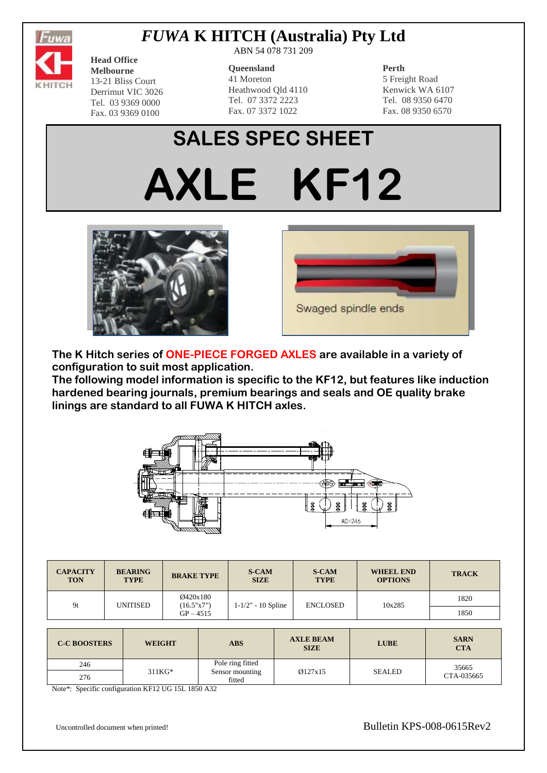

## *FUWA* **K HITCH (Australia) Pty Ltd**

**Head Office Melbourne** 13-21 Bliss Court Derrimut VIC 3026 Tel. 03 9369 0000 Fax. 03 9369 0100

ABN 54 078 731 209

#### **Queensland**

41 Moreton Heathwood Qld 4110 Tel. 07 3372 2223 Fax. 07 3372 1022

### **Perth**

5 Freight Road Kenwick WA 6107 Tel. 08 9350 6470 Fax. 08 9350 6570

# **SALES SPEC SHEET AXLE KF12**





**The K Hitch series of ONE-PIECE FORGED AXLES are available in a variety of configuration to suit most application.**

**The following model information is specific to the KF12, but features like induction hardened bearing journals, premium bearings and seals and OE quality brake linings are standard to all FUWA K HITCH axles.**



| <b>CAPACITY</b><br><b>TON</b> | <b>BEARING</b><br><b>TYPE</b> | <b>BRAKE TYPE</b>      | <b>S-CAM</b><br><b>SIZE</b> | <b>S-CAM</b><br><b>TYPE</b> | <b>WHEEL END</b><br><b>OPTIONS</b> | <b>TRACK</b> |
|-------------------------------|-------------------------------|------------------------|-----------------------------|-----------------------------|------------------------------------|--------------|
| 9t                            | UNITISED                      | Ø420x180<br>(16.5"x7") | $1 - 1/2" - 10$ Spline      | <b>ENCLOSED</b>             | 10x285                             | 1820         |
|                               |                               | $GP - 4515$            |                             |                             |                                    | 1850         |
|                               |                               |                        |                             |                             |                                    |              |
|                               |                               |                        |                             |                             |                                    |              |

| <b>C-C BOOSTERS</b> | <b>WEIGHT</b> | <b>ABS</b>                                    | <b>AXLE BEAM</b><br><b>SIZE</b> | <b>LUBE</b>   | <b>SARN</b><br><b>CTA</b> |
|---------------------|---------------|-----------------------------------------------|---------------------------------|---------------|---------------------------|
| 246                 |               | Pole ring fitted<br>Sensor mounting<br>fitted | Q127x15                         | <b>SEALED</b> | 35665<br>CTA-035665       |
| 276                 | $311KG*$      |                                               |                                 |               |                           |

Note\*: Specific configuration KF12 UG 15L 1850 A32

Uncontrolled document when printed! Bulletin KPS-008-0615Rev2